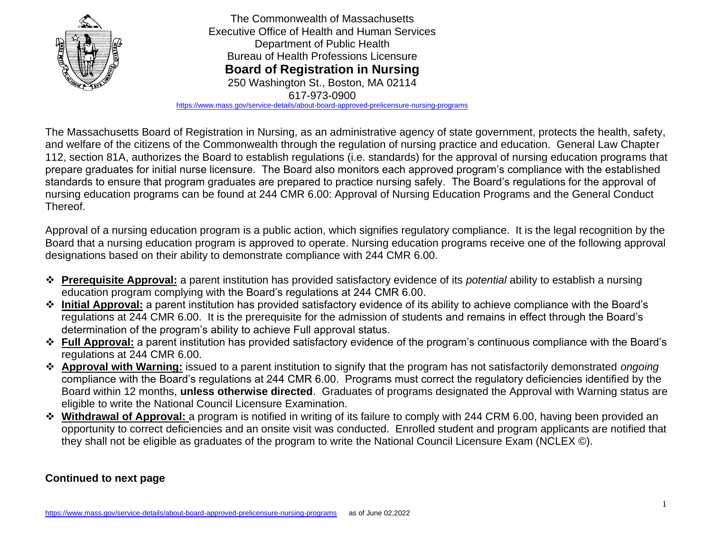

<https://www.mass.gov/service-details/about-board-approved-prelicensure-nursing-programs>

The Massachusetts Board of Registration in Nursing, as an administrative agency of state government, protects the health, safety, and welfare of the citizens of the Commonwealth through the regulation of nursing practice and education. General Law Chapter 112, section 81A, authorizes the Board to establish regulations (i.e. standards) for the approval of nursing education programs that prepare graduates for initial nurse licensure. The Board also monitors each approved program's compliance with the established standards to ensure that program graduates are prepared to practice nursing safely. The Board's regulations for the approval of nursing education programs can be found at 244 CMR 6.00: Approval of Nursing Education Programs and the General Conduct Thereof.

Approval of a nursing education program is a public action, which signifies regulatory compliance. It is the legal recognition by the Board that a nursing education program is approved to operate. Nursing education programs receive one of the following approval designations based on their ability to demonstrate compliance with 244 CMR 6.00.

- ❖ **Prerequisite Approval:** a parent institution has provided satisfactory evidence of its *potential* ability to establish a nursing education program complying with the Board's regulations at 244 CMR 6.00.
- ❖ **Initial Approval:** a parent institution has provided satisfactory evidence of its ability to achieve compliance with the Board's regulations at 244 CMR 6.00. It is the prerequisite for the admission of students and remains in effect through the Board's determination of the program's ability to achieve Full approval status.
- ❖ **Full Approval:** a parent institution has provided satisfactory evidence of the program's continuous compliance with the Board's regulations at 244 CMR 6.00.
- ❖ **Approval with Warning:** issued to a parent institution to signify that the program has not satisfactorily demonstrated *ongoing* compliance with the Board's regulations at 244 CMR 6.00. Programs must correct the regulatory deficiencies identified by the Board within 12 months, **unless otherwise directed**. Graduates of programs designated the Approval with Warning status are eligible to write the National Council Licensure Examination.
- ❖ **Withdrawal of Approval:** a program is notified in writing of its failure to comply with 244 CRM 6.00, having been provided an opportunity to correct deficiencies and an onsite visit was conducted. Enrolled student and program applicants are notified that they shall not be eligible as graduates of the program to write the National Council Licensure Exam (NCLEX ©).

# **Continued to next page**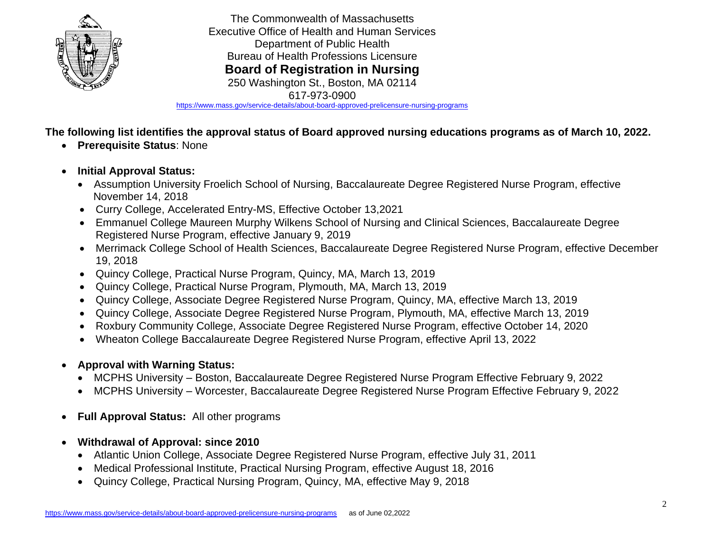

<https://www.mass.gov/service-details/about-board-approved-prelicensure-nursing-programs>

**The following list identifies the approval status of Board approved nursing educations programs as of March 10, 2022.**

- **Prerequisite Status**: None
- **Initial Approval Status:**
	- Assumption University Froelich School of Nursing, Baccalaureate Degree Registered Nurse Program, effective November 14, 2018
	- Curry College, Accelerated Entry-MS, Effective October 13,2021
	- Emmanuel College Maureen Murphy Wilkens School of Nursing and Clinical Sciences, Baccalaureate Degree Registered Nurse Program, effective January 9, 2019
	- Merrimack College School of Health Sciences, Baccalaureate Degree Registered Nurse Program, effective December 19, 2018
	- Quincy College, Practical Nurse Program, Quincy, MA, March 13, 2019
	- Quincy College, Practical Nurse Program, Plymouth, MA, March 13, 2019
	- Quincy College, Associate Degree Registered Nurse Program, Quincy, MA, effective March 13, 2019
	- Quincy College, Associate Degree Registered Nurse Program, Plymouth, MA, effective March 13, 2019
	- Roxbury Community College, Associate Degree Registered Nurse Program, effective October 14, 2020
	- Wheaton College Baccalaureate Degree Registered Nurse Program, effective April 13, 2022
- **Approval with Warning Status:**
	- MCPHS University Boston, Baccalaureate Degree Registered Nurse Program Effective February 9, 2022
	- MCPHS University Worcester, Baccalaureate Degree Registered Nurse Program Effective February 9, 2022
- **Full Approval Status:** All other programs
- **Withdrawal of Approval: since 2010**
	- Atlantic Union College, Associate Degree Registered Nurse Program, effective July 31, 2011
	- Medical Professional Institute, Practical Nursing Program, effective August 18, 2016
	- Quincy College, Practical Nursing Program, Quincy, MA, effective May 9, 2018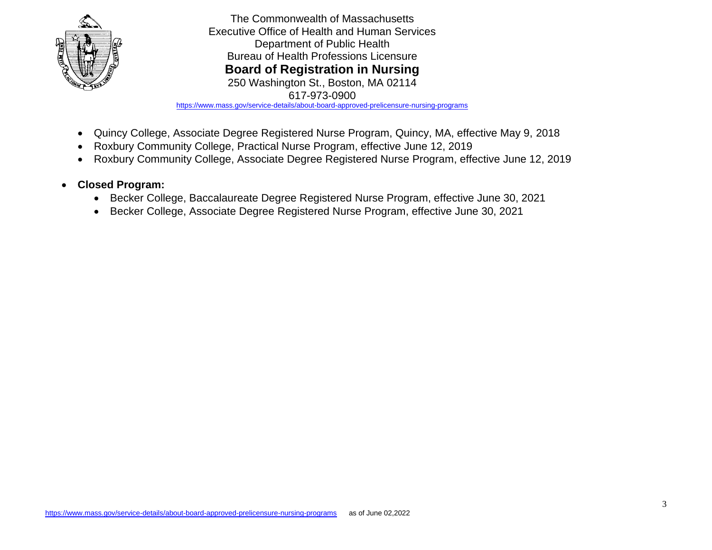

<https://www.mass.gov/service-details/about-board-approved-prelicensure-nursing-programs>

- Quincy College, Associate Degree Registered Nurse Program, Quincy, MA, effective May 9, 2018
- Roxbury Community College, Practical Nurse Program, effective June 12, 2019
- Roxbury Community College, Associate Degree Registered Nurse Program, effective June 12, 2019
- **Closed Program:** 
	- Becker College, Baccalaureate Degree Registered Nurse Program, effective June 30, 2021
	- Becker College, Associate Degree Registered Nurse Program, effective June 30, 2021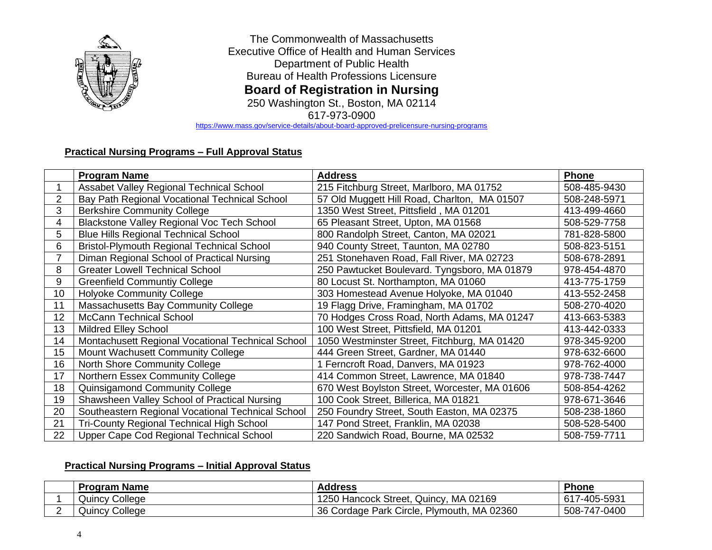

617-973-0900

<https://www.mass.gov/service-details/about-board-approved-prelicensure-nursing-programs>

# **Practical Nursing Programs – Full Approval Status**

|    | <b>Program Name</b>                               | <b>Address</b>                                | <b>Phone</b> |
|----|---------------------------------------------------|-----------------------------------------------|--------------|
|    | Assabet Valley Regional Technical School          | 215 Fitchburg Street, Marlboro, MA 01752      | 508-485-9430 |
| 2  | Bay Path Regional Vocational Technical School     | 57 Old Muggett Hill Road, Charlton, MA 01507  | 508-248-5971 |
| 3  | <b>Berkshire Community College</b>                | 1350 West Street, Pittsfield, MA 01201        | 413-499-4660 |
| 4  | Blackstone Valley Regional Voc Tech School        | 65 Pleasant Street, Upton, MA 01568           | 508-529-7758 |
| 5  | <b>Blue Hills Regional Technical School</b>       | 800 Randolph Street, Canton, MA 02021         | 781-828-5800 |
| 6  | <b>Bristol-Plymouth Regional Technical School</b> | 940 County Street, Taunton, MA 02780          | 508-823-5151 |
|    | Diman Regional School of Practical Nursing        | 251 Stonehaven Road, Fall River, MA 02723     | 508-678-2891 |
| 8  | <b>Greater Lowell Technical School</b>            | 250 Pawtucket Boulevard. Tyngsboro, MA 01879  | 978-454-4870 |
| 9  | <b>Greenfield Communtiy College</b>               | 80 Locust St. Northampton, MA 01060           | 413-775-1759 |
| 10 | <b>Holyoke Community College</b>                  | 303 Homestead Avenue Holyoke, MA 01040        | 413-552-2458 |
| 11 | Massachusetts Bay Community College               | 19 Flagg Drive, Framingham, MA 01702          | 508-270-4020 |
| 12 | McCann Technical School                           | 70 Hodges Cross Road, North Adams, MA 01247   | 413-663-5383 |
| 13 | <b>Mildred Elley School</b>                       | 100 West Street, Pittsfield, MA 01201         | 413-442-0333 |
| 14 | Montachusett Regional Vocational Technical School | 1050 Westminster Street, Fitchburg, MA 01420  | 978-345-9200 |
| 15 | Mount Wachusett Community College                 | 444 Green Street, Gardner, MA 01440           | 978-632-6600 |
| 16 | North Shore Community College                     | 1 Ferncroft Road, Danvers, MA 01923           | 978-762-4000 |
| 17 | Northern Essex Community College                  | 414 Common Street, Lawrence, MA 01840         | 978-738-7447 |
| 18 | Quinsigamond Community College                    | 670 West Boylston Street, Worcester, MA 01606 | 508-854-4262 |
| 19 | Shawsheen Valley School of Practical Nursing      | 100 Cook Street, Billerica, MA 01821          | 978-671-3646 |
| 20 | Southeastern Regional Vocational Technical School | 250 Foundry Street, South Easton, MA 02375    | 508-238-1860 |
| 21 | <b>Tri-County Regional Technical High School</b>  | 147 Pond Street, Franklin, MA 02038           | 508-528-5400 |
| 22 | Upper Cape Cod Regional Technical School          | 220 Sandwich Road, Bourne, MA 02532           | 508-759-7711 |

### **Practical Nursing Programs – Initial Approval Status**

| <b>Program Name</b>   | Address                                    | Phone        |
|-----------------------|--------------------------------------------|--------------|
| College<br>Quincy (   | 1250 Hancock Street, Quincy,<br>. MA 02169 | 617-405-5931 |
| <b>Quincy College</b> | 36 Cordage Park Circle, Plymouth, MA 02360 | 508-747-0400 |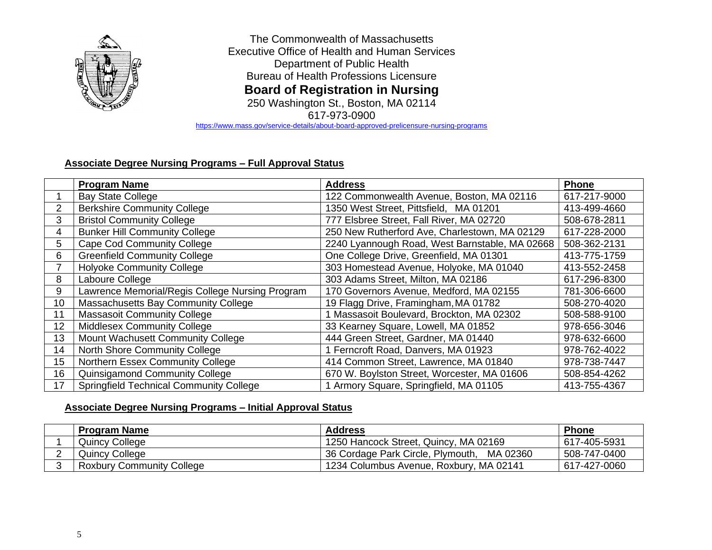

<https://www.mass.gov/service-details/about-board-approved-prelicensure-nursing-programs>

# **Associate Degree Nursing Programs – Full Approval Status**

|                       | <b>Program Name</b>                             | <b>Address</b>                                 | <b>Phone</b> |
|-----------------------|-------------------------------------------------|------------------------------------------------|--------------|
|                       | <b>Bay State College</b>                        | 122 Commonwealth Avenue, Boston, MA 02116      | 617-217-9000 |
| $\mathbf{2}^{\prime}$ | <b>Berkshire Community College</b>              | 1350 West Street, Pittsfield, MA 01201         | 413-499-4660 |
| 3                     | <b>Bristol Community College</b>                | 777 Elsbree Street, Fall River, MA 02720       | 508-678-2811 |
| 4                     | <b>Bunker Hill Community College</b>            | 250 New Rutherford Ave, Charlestown, MA 02129  | 617-228-2000 |
| 5                     | <b>Cape Cod Community College</b>               | 2240 Lyannough Road, West Barnstable, MA 02668 | 508-362-2131 |
| 6                     | <b>Greenfield Community College</b>             | One College Drive, Greenfield, MA 01301        | 413-775-1759 |
|                       | <b>Holyoke Community College</b>                | 303 Homestead Avenue, Holyoke, MA 01040        | 413-552-2458 |
| 8                     | Laboure College                                 | 303 Adams Street, Milton, MA 02186             | 617-296-8300 |
| 9                     | Lawrence Memorial/Regis College Nursing Program | 170 Governors Avenue, Medford, MA 02155        | 781-306-6600 |
| 10                    | Massachusetts Bay Community College             | 19 Flagg Drive, Framingham, MA 01782           | 508-270-4020 |
| 11                    | <b>Massasoit Community College</b>              | 1 Massasoit Boulevard, Brockton, MA 02302      | 508-588-9100 |
| 12                    | <b>Middlesex Community College</b>              | 33 Kearney Square, Lowell, MA 01852            | 978-656-3046 |
| 13                    | Mount Wachusett Community College               | 444 Green Street, Gardner, MA 01440            | 978-632-6600 |
| 14                    | North Shore Community College                   | 1 Ferncroft Road, Danvers, MA 01923            | 978-762-4022 |
| 15                    | <b>Northern Essex Community College</b>         | 414 Common Street, Lawrence, MA 01840          | 978-738-7447 |
| 16                    | Quinsigamond Community College                  | 670 W. Boylston Street, Worcester, MA 01606    | 508-854-4262 |
| 17                    | <b>Springfield Technical Community College</b>  | 1 Armory Square, Springfield, MA 01105         | 413-755-4367 |

### **Associate Degree Nursing Programs – Initial Approval Status**

| <b>Program Name</b>              | <b>Address</b>                                | <b>Phone</b> |
|----------------------------------|-----------------------------------------------|--------------|
| <b>Quincy College</b>            | 1250 Hancock Street, Quincy, MA 02169         | 617-405-5931 |
| Quincy College                   | 36 Cordage Park Circle, Plymouth,<br>MA 02360 | 508-747-0400 |
| <b>Roxbury Community College</b> | 1234 Columbus Avenue, Roxbury, MA 02141       | 617-427-0060 |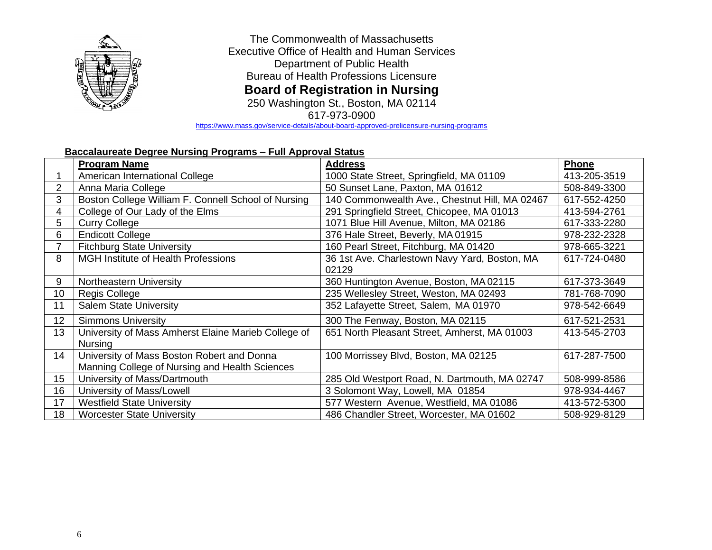

617-973-0900

<https://www.mass.gov/service-details/about-board-approved-prelicensure-nursing-programs>

## **Baccalaureate Degree Nursing Programs – Full Approval Status**

|                | <b>Program Name</b>                                 | <b>Address</b>                                 | <b>Phone</b> |
|----------------|-----------------------------------------------------|------------------------------------------------|--------------|
|                | American International College                      | 1000 State Street, Springfield, MA 01109       | 413-205-3519 |
| $\overline{2}$ | Anna Maria College                                  | 50 Sunset Lane, Paxton, MA 01612               | 508-849-3300 |
| 3              | Boston College William F. Connell School of Nursing | 140 Commonwealth Ave., Chestnut Hill, MA 02467 | 617-552-4250 |
| 4              | College of Our Lady of the Elms                     | 291 Springfield Street, Chicopee, MA 01013     | 413-594-2761 |
| 5              | <b>Curry College</b>                                | 1071 Blue Hill Avenue, Milton, MA 02186        | 617-333-2280 |
| 6              | <b>Endicott College</b>                             | 376 Hale Street, Beverly, MA 01915             | 978-232-2328 |
|                | <b>Fitchburg State University</b>                   | 160 Pearl Street, Fitchburg, MA 01420          | 978-665-3221 |
| 8              | <b>MGH Institute of Health Professions</b>          | 36 1st Ave. Charlestown Navy Yard, Boston, MA  | 617-724-0480 |
|                |                                                     | 02129                                          |              |
| 9              | Northeastern University                             | 360 Huntington Avenue, Boston, MA 02115        | 617-373-3649 |
| 10             | Regis College                                       | 235 Wellesley Street, Weston, MA 02493         | 781-768-7090 |
| 11             | <b>Salem State University</b>                       | 352 Lafayette Street, Salem, MA 01970          | 978-542-6649 |
| 12             | <b>Simmons University</b>                           | 300 The Fenway, Boston, MA 02115               | 617-521-2531 |
| 13             | University of Mass Amherst Elaine Marieb College of | 651 North Pleasant Street, Amherst, MA 01003   | 413-545-2703 |
|                | <b>Nursing</b>                                      |                                                |              |
| 14             | University of Mass Boston Robert and Donna          | 100 Morrissey Blvd, Boston, MA 02125           | 617-287-7500 |
|                | Manning College of Nursing and Health Sciences      |                                                |              |
| 15             | University of Mass/Dartmouth                        | 285 Old Westport Road, N. Dartmouth, MA 02747  | 508-999-8586 |
| 16             | University of Mass/Lowell                           | 3 Solomont Way, Lowell, MA 01854               | 978-934-4467 |
| 17             | <b>Westfield State University</b>                   | 577 Western Avenue, Westfield, MA 01086        | 413-572-5300 |
| 18             | <b>Worcester State University</b>                   | 486 Chandler Street, Worcester, MA 01602       | 508-929-8129 |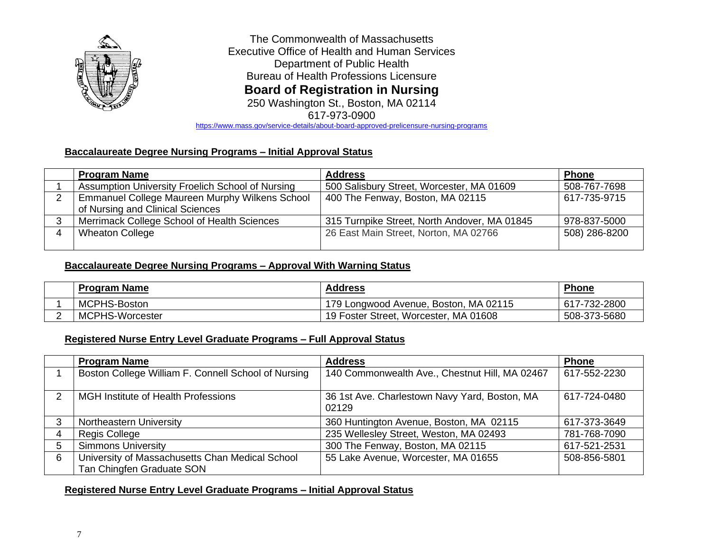

<https://www.mass.gov/service-details/about-board-approved-prelicensure-nursing-programs>

### **Baccalaureate Degree Nursing Programs – Initial Approval Status**

| <b>Program Name</b>                                                                | <b>Address</b>                               | <b>Phone</b>  |
|------------------------------------------------------------------------------------|----------------------------------------------|---------------|
| Assumption University Froelich School of Nursing                                   | 500 Salisbury Street, Worcester, MA 01609    | 508-767-7698  |
| Emmanuel College Maureen Murphy Wilkens School<br>of Nursing and Clinical Sciences | 400 The Fenway, Boston, MA 02115             | 617-735-9715  |
| Merrimack College School of Health Sciences                                        | 315 Turnpike Street, North Andover, MA 01845 | 978-837-5000  |
| <b>Wheaton College</b>                                                             | 26 East Main Street, Norton, MA 02766        | 508) 286-8200 |
|                                                                                    |                                              |               |

### **Baccalaureate Degree Nursing Programs – Approval With Warning Status**

| <b>Program Name</b> | <b>Address</b>                        | <b>Phone</b> |
|---------------------|---------------------------------------|--------------|
| MCPHS-Boston        | 179 Longwood Avenue, Boston, MA 02115 | 617-732-2800 |
| MCPHS-Worcester     | 19 Foster Street, Worcester, MA 01608 | 508-373-5680 |

#### **Registered Nurse Entry Level Graduate Programs – Full Approval Status**

|   | <b>Program Name</b>                                                          | <b>Address</b>                                         | <b>Phone</b> |
|---|------------------------------------------------------------------------------|--------------------------------------------------------|--------------|
|   | Boston College William F. Connell School of Nursing                          | 140 Commonwealth Ave., Chestnut Hill, MA 02467         | 617-552-2230 |
| 2 | MGH Institute of Health Professions                                          | 36 1st Ave. Charlestown Navy Yard, Boston, MA<br>02129 | 617-724-0480 |
|   | Northeastern University                                                      | 360 Huntington Avenue, Boston, MA 02115                | 617-373-3649 |
|   | Regis College                                                                | 235 Wellesley Street, Weston, MA 02493                 | 781-768-7090 |
| 5 | <b>Simmons University</b>                                                    | 300 The Fenway, Boston, MA 02115                       | 617-521-2531 |
| 6 | University of Massachusetts Chan Medical School<br>Tan Chingfen Graduate SON | 55 Lake Avenue, Worcester, MA 01655                    | 508-856-5801 |

#### **Registered Nurse Entry Level Graduate Programs – Initial Approval Status**